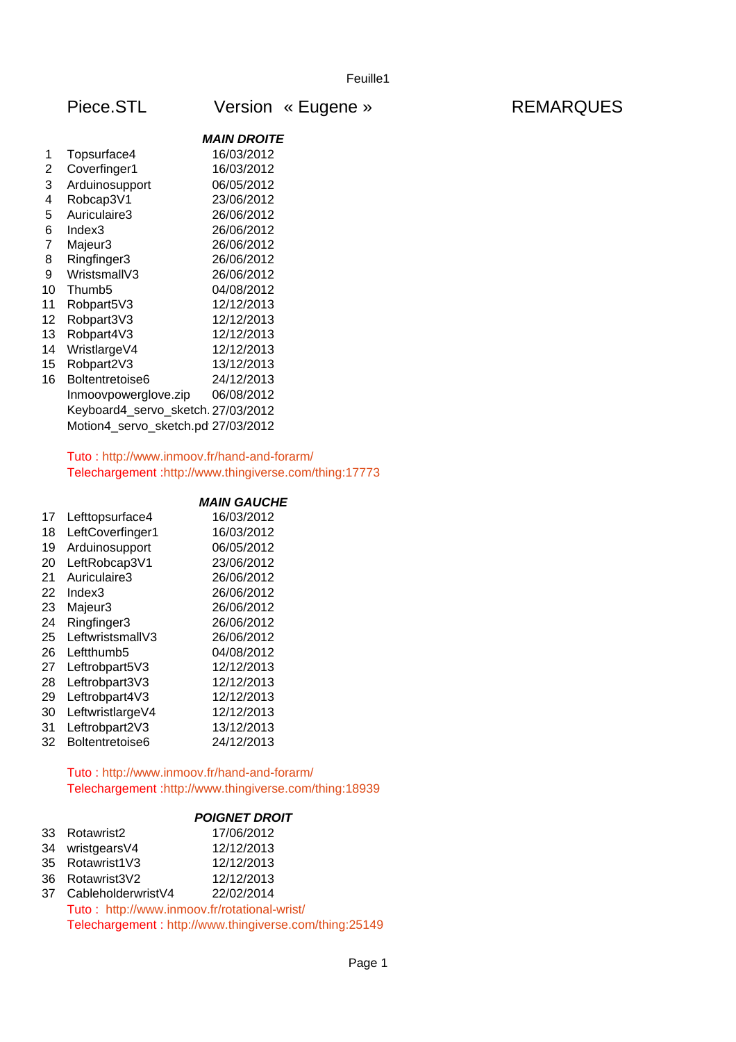|                | 1000.0TL                           | <b>UIJIUII</b>     |  |
|----------------|------------------------------------|--------------------|--|
|                |                                    | <b>MAIN DROITE</b> |  |
| 1              | Topsurface4                        | 16/03/2012         |  |
| $\overline{2}$ | Coverfinger1                       | 16/03/2012         |  |
| 3              | Arduinosupport                     | 06/05/2012         |  |
| 4              | Robcap3V1                          | 23/06/2012         |  |
| 5              | Auriculaire3                       | 26/06/2012         |  |
| 6              | Index3                             | 26/06/2012         |  |
| $\overline{7}$ | Majeur3                            | 26/06/2012         |  |
| 8              | Ringfinger3                        | 26/06/2012         |  |
| 9              | WristsmallV3                       | 26/06/2012         |  |
| 10             | Thumb <sub>5</sub>                 | 04/08/2012         |  |
| 11             | Robpart5V3                         | 12/12/2013         |  |
| 12             | Robpart3V3                         | 12/12/2013         |  |
| 13             | Robpart4V3                         | 12/12/2013         |  |
| 14             | WristlargeV4                       | 12/12/2013         |  |
| 15             | Robpart2V3                         | 13/12/2013         |  |
| 16             | Boltentretoise6                    | 24/12/2013         |  |
|                | Inmoovpowerglove.zip               | 06/08/2012         |  |
|                | Keyboard4_servo_sketch.27/03/2012  |                    |  |
|                | Motion4_servo_sketch.pd 27/03/2012 |                    |  |
|                |                                    |                    |  |

## Tuto :<http://www.inmoov.fr/hand-and-forarm/> Telechargement [:http://www.thingiverse.com/thing:17773](http://www.thingiverse.com/thing:17773)

## *MAIN GAUCHE*

| 17 | Lefttopsurface4  | 16/03/2012 |
|----|------------------|------------|
| 18 | LeftCoverfinger1 | 16/03/2012 |
| 19 | Arduinosupport   | 06/05/2012 |
| 20 | LeftRobcap3V1    | 23/06/2012 |
| 21 | Auriculaire3     | 26/06/2012 |
| 22 | Index3           | 26/06/2012 |
| 23 | Majeur3          | 26/06/2012 |
| 24 | Ringfinger3      | 26/06/2012 |
| 25 | LeftwristsmallV3 | 26/06/2012 |
| 26 | Leftthumb5       | 04/08/2012 |
| 27 | Leftrobpart5V3   | 12/12/2013 |
| 28 | Leftrobpart3V3   | 12/12/2013 |
| 29 | Leftrobpart4V3   | 12/12/2013 |
| 30 | LeftwristlargeV4 | 12/12/2013 |
| 31 | Leftrobpart2V3   | 13/12/2013 |
| 32 | Boltentretoise6  | 24/12/2013 |

# Tuto :<http://www.inmoov.fr/hand-and-forarm/> Telechargement [:http://www.thingiverse.com/thing:18939](http://www.thingiverse.com/thing:18939)

## *POIGNET DROIT*

| 33 Rotawrist2    | 17/06/2012 |
|------------------|------------|
| 34 wristgears V4 | 12/12/2013 |
| 35 Rotawrist1V3  | 12/12/2013 |
| 36 Rotawrist3V2  | 12/12/2013 |
|                  |            |

 CableholderwristV4 22/02/2014 Tuto : <http://www.inmoov.fr/rotational-wrist/> Telechargement : <http://www.thingiverse.com/thing:25149>

# Piece.STL Version « Eugene » The REMARQUES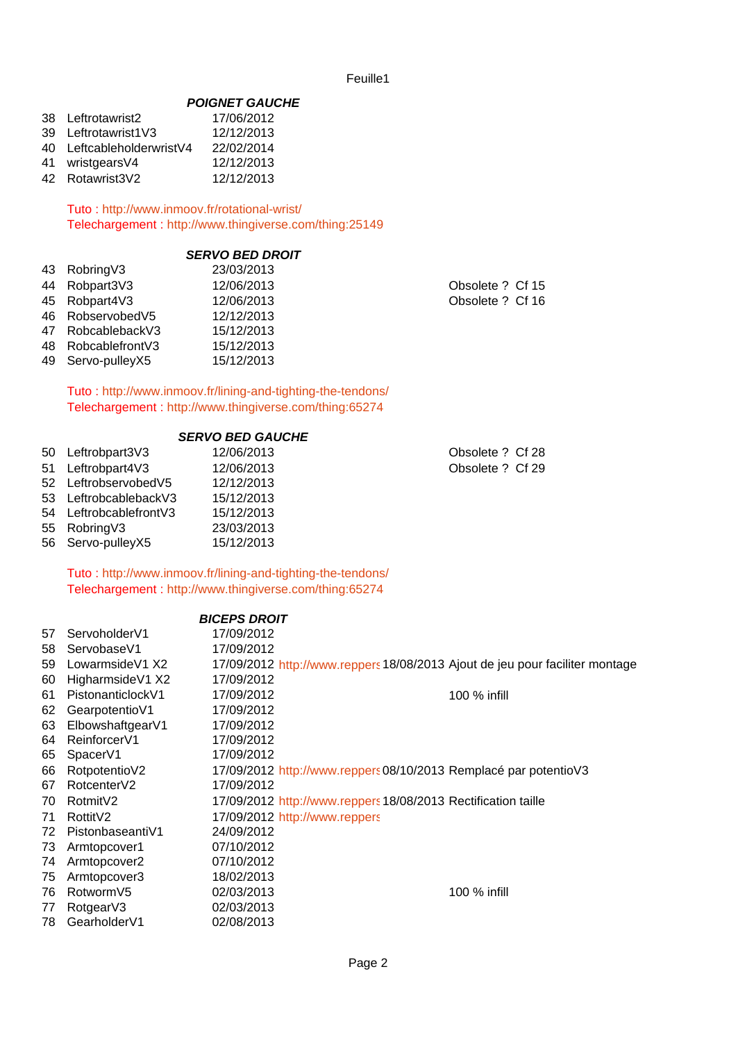## *POIGNET GAUCHE*

| 38 Leftrotawrist2         | 17/06/2012 |
|---------------------------|------------|
| 39 Leftrotawrist1V3       | 12/12/2013 |
| 40 LeftcableholderwristV4 | 22/02/2014 |
| 41 wristgearsV4           | 12/12/2013 |
| 42 Rotawrist3V2           | 12/12/2013 |

Tuto :<http://www.inmoov.fr/rotational-wrist/> Telechargement :<http://www.thingiverse.com/thing:25149>

## *SERVO BED DROIT*

| 43 Robring V3       | 23/03/2013 |                  |
|---------------------|------------|------------------|
| 44 Robpart3V3       | 12/06/2013 | Obsolete ? Cf 15 |
| 45 Robpart4V3       | 12/06/2013 | Obsolete ? Cf 16 |
| 46 RobservobedV5    | 12/12/2013 |                  |
| 47 RobcablebackV3   | 15/12/2013 |                  |
| 48 Robcablefront V3 | 15/12/2013 |                  |
| 49 Servo-pulleyX5   | 15/12/2013 |                  |
|                     |            |                  |

Tuto :<http://www.inmoov.fr/lining-and-tighting-the-tendons/> Telechargement :<http://www.thingiverse.com/thing:65274>

## *SERVO BED GAUCHE*

|    | 50 Leftrobpart3V3    | 12/06/2013 |
|----|----------------------|------------|
| 51 | Leftrobpart4V3       | 12/06/2013 |
|    | 52 LeftrobservobedV5 | 12/12/2013 |
| 53 | LeftrobcablebackV3   | 15/12/2013 |
| 54 | LeftrobcablefrontV3  | 15/12/2013 |
| 55 | RobringV3            | 23/03/2013 |
| 56 | Servo-pulleyX5       | 15/12/2013 |
|    |                      |            |

Obsolete ? Cf 28 Obsolete ? Cf 29

Tuto :<http://www.inmoov.fr/lining-and-tighting-the-tendons/> Telechargement :<http://www.thingiverse.com/thing:65274>

#### *BICEPS DROIT*

| 57 | ServoholderV1            | 17/09/2012                                                                   |              |
|----|--------------------------|------------------------------------------------------------------------------|--------------|
| 58 | ServobaseV1              | 17/09/2012                                                                   |              |
| 59 | LowarmsideV1 X2          | 17/09/2012 http://www.reppers 18/08/2013 Ajout de jeu pour faciliter montage |              |
| 60 | HigharmsideV1 X2         | 17/09/2012                                                                   |              |
| 61 | PistonanticlockV1        | 17/09/2012                                                                   | 100 % infill |
| 62 | GearpotentioV1           | 17/09/2012                                                                   |              |
| 63 | ElbowshaftgearV1         | 17/09/2012                                                                   |              |
| 64 | Reinforcer <sub>V1</sub> | 17/09/2012                                                                   |              |
| 65 | SpacerV1                 | 17/09/2012                                                                   |              |
| 66 | RotpotentioV2            | 17/09/2012 http://www.reppers08/10/2013 Remplacé par potentioV3              |              |
| 67 | RotcenterV2              | 17/09/2012                                                                   |              |
| 70 | Rotmit <sub>V2</sub>     | 17/09/2012 http://www.reppers 18/08/2013 Rectification taille                |              |
| 71 | Rottit <sub>V2</sub>     | 17/09/2012 http://www.reppers                                                |              |
| 72 | PistonbaseantiV1         | 24/09/2012                                                                   |              |
| 73 | Armtopcover1             | 07/10/2012                                                                   |              |
| 74 | Armtopcover2             | 07/10/2012                                                                   |              |
| 75 | Armtopcover3             | 18/02/2013                                                                   |              |
| 76 | RotwormV5                | 02/03/2013                                                                   | 100 % infill |
| 77 | RotgearV3                | 02/03/2013                                                                   |              |
| 78 | GearholderV1             | 02/08/2013                                                                   |              |
|    |                          |                                                                              |              |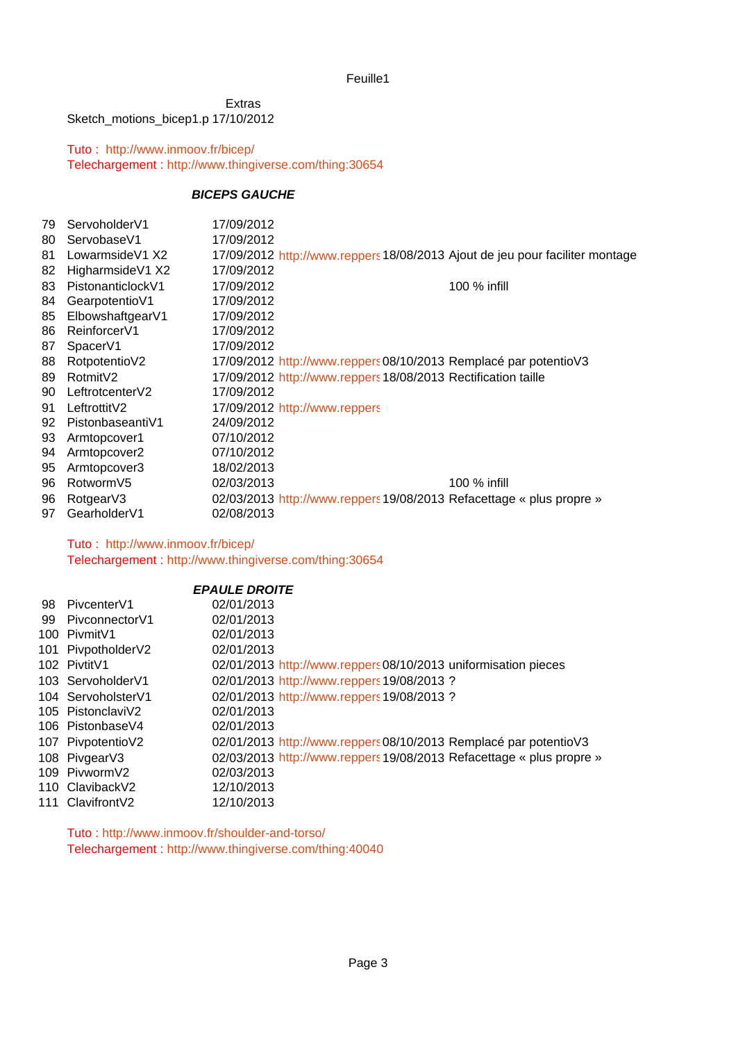Sketch\_motions\_bicep1.p 17/10/2012 Extras

Tuto : <http://www.inmoov.fr/bicep/> Telechargement :<http://www.thingiverse.com/thing:30654>

## *BICEPS GAUCHE*

| 79 | ServoholderV1            | 17/09/2012                                                                   |              |
|----|--------------------------|------------------------------------------------------------------------------|--------------|
| 80 | ServobaseV1              | 17/09/2012                                                                   |              |
| 81 | Lowarmside V1 X2         | 17/09/2012 http://www.reppers 18/08/2013 Ajout de jeu pour faciliter montage |              |
| 82 | HigharmsideV1 X2         | 17/09/2012                                                                   |              |
| 83 | PistonanticlockV1        | 17/09/2012                                                                   | 100 % infill |
| 84 | GearpotentioV1           | 17/09/2012                                                                   |              |
| 85 | ElbowshaftgearV1         | 17/09/2012                                                                   |              |
| 86 | Reinforcer <sub>V1</sub> | 17/09/2012                                                                   |              |
| 87 | SpacerV1                 | 17/09/2012                                                                   |              |
| 88 | RotpotentioV2            | 17/09/2012 http://www.reppers 08/10/2013 Remplacé par potentioV3             |              |
| 89 | Rotmit <sub>V2</sub>     | 17/09/2012 http://www.reppers 18/08/2013 Rectification taille                |              |
| 90 | LeftrotcenterV2          | 17/09/2012                                                                   |              |
| 91 | LeftrottitV2             | 17/09/2012 http://www.reppers                                                |              |
| 92 | PistonbaseantiV1         | 24/09/2012                                                                   |              |
| 93 | Armtopcover1             | 07/10/2012                                                                   |              |
| 94 | Armtopcover2             | 07/10/2012                                                                   |              |
| 95 | Armtopcover3             | 18/02/2013                                                                   |              |
| 96 | RotwormV5                | 02/03/2013                                                                   | 100 % infill |
| 96 | RotgearV3                | 02/03/2013 http://www.reppers 19/08/2013 Refacettage « plus propre »         |              |
| 97 | GearholderV1             | 02/08/2013                                                                   |              |
|    |                          |                                                                              |              |

Tuto : <http://www.inmoov.fr/bicep/> Telechargement :<http://www.thingiverse.com/thing:30654>

|                    | <b>EPAULE DROITE</b>                                                  |
|--------------------|-----------------------------------------------------------------------|
| 98 PivcenterV1     | 02/01/2013                                                            |
| 99 PivconnectorV1  | 02/01/2013                                                            |
| 100 PivmitV1       | 02/01/2013                                                            |
| 101 PivpotholderV2 | 02/01/2013                                                            |
| 102 PivtitV1       | 02/01/2013 http://www.reppers 08/10/2013 uniformisation pieces        |
| 103 ServoholderV1  | 02/01/2013 http://www.reppers 19/08/2013 ?                            |
| 104 ServoholsterV1 | 02/01/2013 http://www.reppers 19/08/2013 ?                            |
| 105 PistonclaviV2  | 02/01/2013                                                            |
| 106 PistonbaseV4   | 02/01/2013                                                            |
| 107 PivpotentioV2  | 02/01/2013 http://www.reppers 08/10/2013 Remplacé par potentioV3      |
| 108 PivgearV3      | 02/03/2013 http://www.reppers. 19/08/2013 Refacettage « plus propre » |
| 109 PivwormV2      | 02/03/2013                                                            |
| 110 ClavibackV2    | 12/10/2013                                                            |
| 111 Clavifront V2  | 12/10/2013                                                            |

Tuto :<http://www.inmoov.fr/shoulder-and-torso/> Telechargement :<http://www.thingiverse.com/thing:40040>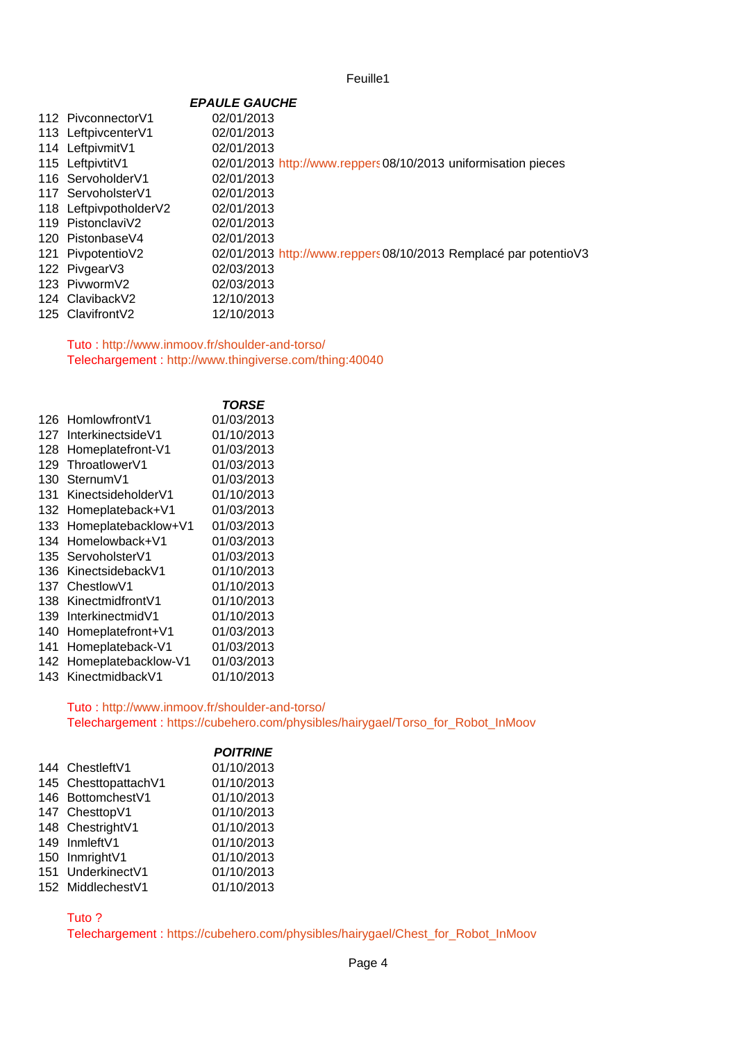|                        | <b>EPAULE GAUCHE</b>                                             |
|------------------------|------------------------------------------------------------------|
| 112 PivconnectorV1     | 02/01/2013                                                       |
| 113 LeftpivcenterV1    | 02/01/2013                                                       |
| 114 LeftpivmitV1       | 02/01/2013                                                       |
| 115 LeftpivtitV1       | 02/01/2013 http://www.reppers08/10/2013 uniformisation pieces    |
| 116 ServoholderV1      | 02/01/2013                                                       |
| 117 ServoholsterV1     | 02/01/2013                                                       |
| 118 LeftpivpotholderV2 | 02/01/2013                                                       |
| 119 PistonclaviV2      | 02/01/2013                                                       |
| 120 PistonbaseV4       | 02/01/2013                                                       |
| 121 PivpotentioV2      | 02/01/2013 http://www.reppers 08/10/2013 Remplacé par potentioV3 |
| 122 PivgearV3          | 02/03/2013                                                       |
| 123 PivwormV2          | 02/03/2013                                                       |
| 124 ClavibackV2        | 12/10/2013                                                       |
| 125 Clavifront V2      | 12/10/2013                                                       |

Tuto :<http://www.inmoov.fr/shoulder-and-torso/> Telechargement :<http://www.thingiverse.com/thing:40040>

|     |                     | <b>TORSE</b> |
|-----|---------------------|--------------|
| 126 | HomlowfrontV1       | 01/03/2013   |
| 127 | InterkinectsideV1   | 01/10/2013   |
| 128 | Homeplatefront-V1   | 01/03/2013   |
| 129 | ThroatlowerV1       | 01/03/2013   |
| 130 | SternumV1           | 01/03/2013   |
| 131 | KinectsideholderV1  | 01/10/2013   |
| 132 | Homeplateback+V1    | 01/03/2013   |
| 133 | Homeplatebacklow+V1 | 01/03/2013   |
| 134 | Homelowback+V1      | 01/03/2013   |
| 135 | ServoholsterV1      | 01/03/2013   |
| 136 | KinectsidebackV1    | 01/10/2013   |
| 137 | ChestlowV1          | 01/10/2013   |
| 138 | KinectmidfrontV1    | 01/10/2013   |
| 139 | InterkinectmidV1    | 01/10/2013   |
| 140 | Homeplatefront+V1   | 01/03/2013   |
| 141 | Homeplateback-V1    | 01/03/2013   |
| 142 | Homeplatebacklow-V1 | 01/03/2013   |
| 143 | KinectmidbackV1     | 01/10/2013   |

Tuto :<http://www.inmoov.fr/shoulder-and-torso/> Telechargement : [https://cubehero.com/physibles/hairygael/Torso\\_for\\_Robot\\_InMoov](https://cubehero.com/physibles/hairygael/Torso_for_Robot_InMoov)

|                      | <b>POITRINE</b> |
|----------------------|-----------------|
| 144 ChestleftV1      | 01/10/2013      |
| 145 ChesttopattachV1 | 01/10/2013      |
| 146 BottomchestV1    | 01/10/2013      |
| 147 ChesttopV1       | 01/10/2013      |
| 148 ChestrightV1     | 01/10/2013      |
| 149 InmleftV1        | 01/10/2013      |
| 150 InmrightV1       | 01/10/2013      |
| 151 UnderkinectV1    | 01/10/2013      |
| 152 MiddlechestV1    | 01/10/2013      |

Tuto ?

Telechargement : [https://cubehero.com/physibles/hairygael/Chest\\_for\\_Robot\\_InMoov](https://cubehero.com/physibles/hairygael/Chest_for_Robot_InMoov)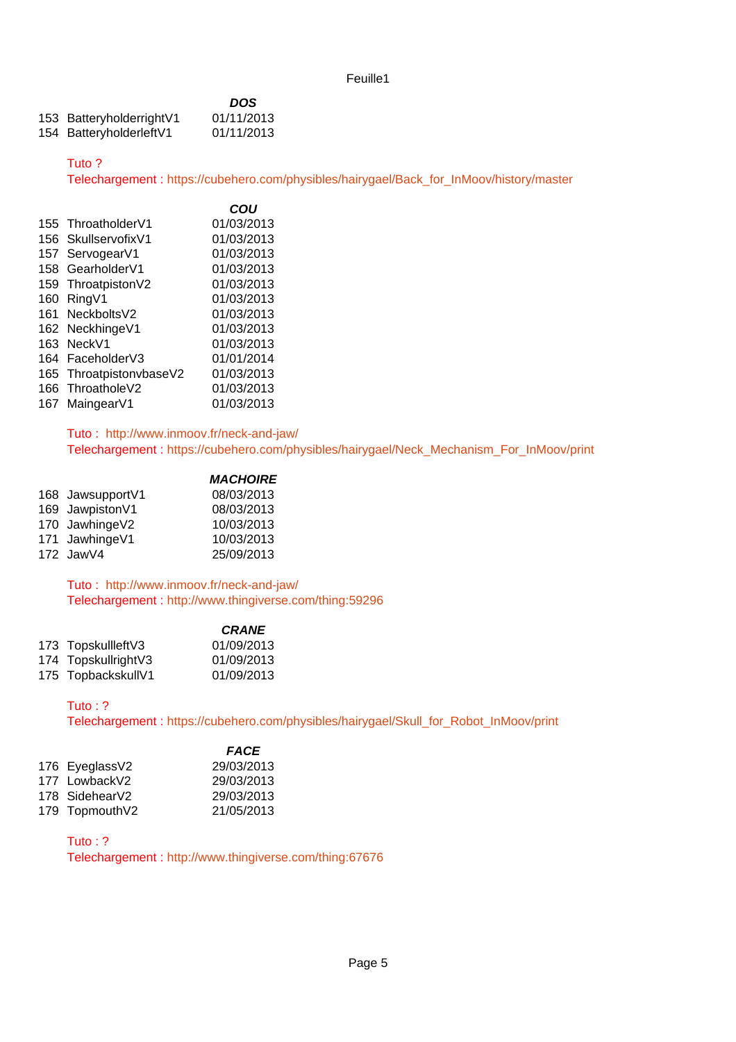|                          | <b>DOS</b> |
|--------------------------|------------|
| 153 BatteryholderrightV1 | 01/11/2013 |
| 154 BatteryholderleftV1  | 01/11/2013 |

#### Tuto ?

Telechargement : [https://cubehero.com/physibles/hairygael/Back\\_for\\_InMoov/history/master](https://cubehero.com/physibles/hairygael/Back_for_InMoov/history/master)

|     |                         | COU        |
|-----|-------------------------|------------|
|     | 155 ThroatholderV1      | 01/03/2013 |
|     | 156 SkullservofixV1     | 01/03/2013 |
|     | 157 ServogearV1         | 01/03/2013 |
|     | 158 GearholderV1        | 01/03/2013 |
|     | 159 ThroatpistonV2      | 01/03/2013 |
|     | 160 RingV1              | 01/03/2013 |
|     | 161 NeckboltsV2         | 01/03/2013 |
|     | 162 NeckhingeV1         | 01/03/2013 |
|     | 163 NeckV1              | 01/03/2013 |
|     | 164 FaceholderV3        | 01/01/2014 |
|     | 165 ThroatpistonvbaseV2 | 01/03/2013 |
|     | 166 ThroatholeV2        | 01/03/2013 |
| 167 | MaingearV1              | 01/03/2013 |
|     |                         |            |

Tuto : <http://www.inmoov.fr/neck-and-jaw/> Telechargement : [https://cubehero.com/physibles/hairygael/Neck\\_Mechanism\\_For\\_InMoov/print](https://cubehero.com/physibles/hairygael/Neck_Mechanism_For_InMoov/print)

|                  | <b>MACHOIRE</b> |
|------------------|-----------------|
| 168 JawsupportV1 | 08/03/2013      |
| 169 JawpistonV1  | 08/03/2013      |
| 170 JawhingeV2   | 10/03/2013      |
| 171 JawhingeV1   | 10/03/2013      |
| 172 JawV4        | 25/09/2013      |
|                  |                 |

Tuto : <http://www.inmoov.fr/neck-and-jaw/> Telechargement :<http://www.thingiverse.com/thing:59296>

|                     | <b>CRANE</b> |
|---------------------|--------------|
| 173 TopskullleftV3  | 01/09/2013   |
| 174 TopskullrightV3 | 01/09/2013   |
| 175 TopbackskullV1  | 01/09/2013   |

#### Tuto : ?

Telechargement : [https://cubehero.com/physibles/hairygael/Skull\\_for\\_Robot\\_InMoov/print](https://cubehero.com/physibles/hairygael/Skull_for_Robot_InMoov/print)

|                | <b>FACE</b> |
|----------------|-------------|
| 176 EyeglassV2 | 29/03/2013  |
| 177 LowbackV2  | 29/03/2013  |
| 178 SidehearV2 | 29/03/2013  |
| 179 TopmouthV2 | 21/05/2013  |

Tuto : ?

Telechargement :<http://www.thingiverse.com/thing:67676>